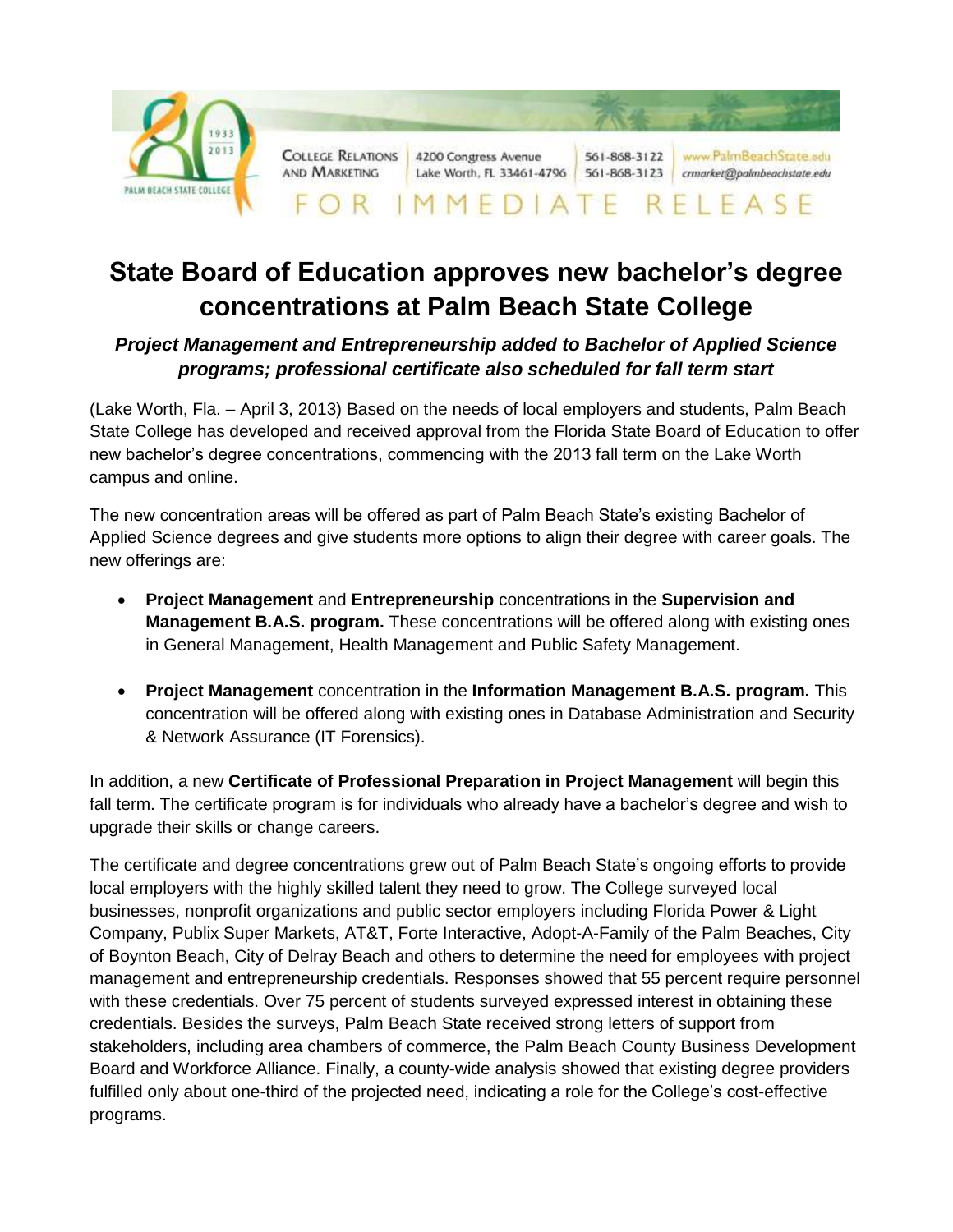

## **State Board of Education approves new bachelor's degree concentrations at Palm Beach State College**

## *Project Management and Entrepreneurship added to Bachelor of Applied Science programs; professional certificate also scheduled for fall term start*

(Lake Worth, Fla. – April 3, 2013) Based on the needs of local employers and students, Palm Beach State College has developed and received approval from the Florida State Board of Education to offer new bachelor's degree concentrations, commencing with the 2013 fall term on the Lake Worth campus and online.

The new concentration areas will be offered as part of Palm Beach State's existing Bachelor of Applied Science degrees and give students more options to align their degree with career goals. The new offerings are:

- **Project Management** and **Entrepreneurship** concentrations in the **Supervision and Management B.A.S. program.** These concentrations will be offered along with existing ones in General Management, Health Management and Public Safety Management.
- **Project Management** concentration in the **Information Management B.A.S. program.** This concentration will be offered along with existing ones in Database Administration and Security & Network Assurance (IT Forensics).

In addition, a new **Certificate of Professional Preparation in Project Management** will begin this fall term. The certificate program is for individuals who already have a bachelor's degree and wish to upgrade their skills or change careers.

The certificate and degree concentrations grew out of Palm Beach State's ongoing efforts to provide local employers with the highly skilled talent they need to grow. The College surveyed local businesses, nonprofit organizations and public sector employers including Florida Power & Light Company, Publix Super Markets, AT&T, Forte Interactive, Adopt-A-Family of the Palm Beaches, City of Boynton Beach, City of Delray Beach and others to determine the need for employees with project management and entrepreneurship credentials. Responses showed that 55 percent require personnel with these credentials. Over 75 percent of students surveyed expressed interest in obtaining these credentials. Besides the surveys, Palm Beach State received strong letters of support from stakeholders, including area chambers of commerce, the Palm Beach County Business Development Board and Workforce Alliance. Finally, a county-wide analysis showed that existing degree providers fulfilled only about one-third of the projected need, indicating a role for the College's cost-effective programs.